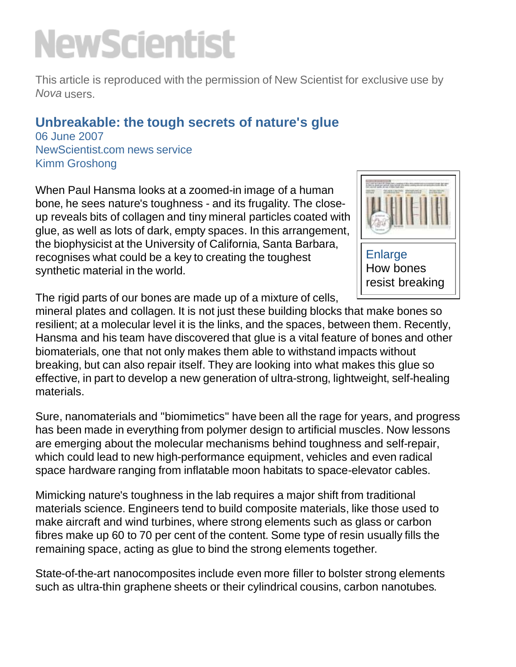# **NewScientist**

This article is reproduced with the permission of New Scientist for exclusive use by *Nova* users.

## **Unbreakable: the tough secrets of nature's glue**

06 June 2007 NewScientist.com news service Kimm Groshong

When Paul Hansma looks at a zoomed-in image of a human bone, he sees nature's toughness - and its frugality. The closeup reveals bits of collagen and tiny mineral particles coated with glue, as well as lots of dark, empty spaces. In this arrangement, the biophysicist at the University of California, Santa Barbara, recognises what could be a key to creating the toughest synthetic material in the world.



The rigid parts of our bones are made up of a mixture of cells,

mineral plates and collagen. It is not just these building blocks that make bones so resilient; at a molecular level it is the links, and the spaces, between them. Recently, Hansma and his team have discovered that glue is a vital feature of bones and other biomaterials, one that not only makes them able to withstand impacts without breaking, but can also repair itself. They are looking into what makes this glue so effective, in part to develop a new generation of ultra-strong, lightweight, self-healing materials.

Sure, nanomaterials and "biomimetics" have been all the rage for years, and progress has been made in everything from polymer design to artificial muscles. Now lessons are emerging about the molecular mechanisms behind toughness and self-repair, which could lead to new high-performance equipment, vehicles and even radical space hardware ranging from inflatable moon habitats to space-elevator cables.

Mimicking nature's toughness in the lab requires a major shift from traditional materials science. Engineers tend to build composite materials, like those used to make aircraft and wind turbines, where strong elements such as glass or carbon fibres make up 60 to 70 per cent of the content. Some type of resin usually fills the remaining space, acting as glue to bind the strong elements together.

State-of-the-art nanocomposites include even more filler to bolster strong elements such as ultra-thin graphene sheets or their cylindrical cousins, carbon nanotubes.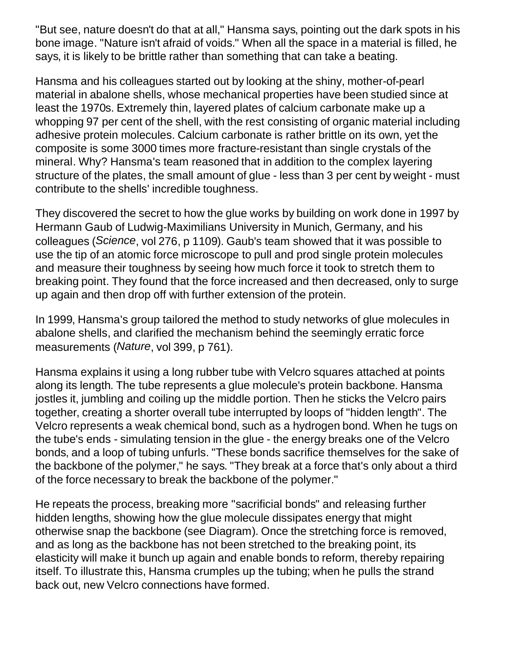"But see, nature doesn't do that at all," Hansma says, pointing out the dark spots in his bone image. "Nature isn't afraid of voids." When all the space in a material is filled, he says, it is likely to be brittle rather than something that can take a beating.

Hansma and his colleagues started out by looking at the shiny, mother-of-pearl material in abalone shells, whose mechanical properties have been studied since at least the 1970s. Extremely thin, layered plates of calcium carbonate make up a whopping 97 per cent of the shell, with the rest consisting of organic material including adhesive protein molecules. Calcium carbonate is rather brittle on its own, yet the composite is some 3000 times more fracture-resistant than single crystals of the mineral. Why? Hansma's team reasoned that in addition to the complex layering structure of the plates, the small amount of glue - less than 3 per cent by weight - must contribute to the shells' incredible toughness.

They discovered the secret to how the glue works by building on work done in 1997 by Hermann Gaub of Ludwig-Maximilians University in Munich, Germany, and his colleagues (*Science*, vol 276, p 1109). Gaub's team showed that it was possible to use the tip of an atomic force microscope to pull and prod single protein molecules and measure their toughness by seeing how much force it took to stretch them to breaking point. They found that the force increased and then decreased, only to surge up again and then drop off with further extension of the protein.

In 1999, Hansma's group tailored the method to study networks of glue molecules in abalone shells, and clarified the mechanism behind the seemingly erratic force measurements (*Nature*, vol 399, p 761).

Hansma explains it using a long rubber tube with Velcro squares attached at points along its length. The tube represents a glue molecule's protein backbone. Hansma jostles it, jumbling and coiling up the middle portion. Then he sticks the Velcro pairs together, creating a shorter overall tube interrupted by loops of "hidden length". The Velcro represents a weak chemical bond, such as a hydrogen bond. When he tugs on the tube's ends - simulating tension in the glue - the energy breaks one of the Velcro bonds, and a loop of tubing unfurls. "These bonds sacrifice themselves for the sake of the backbone of the polymer," he says. "They break at a force that's only about a third of the force necessary to break the backbone of the polymer."

He repeats the process, breaking more "sacrificial bonds" and releasing further hidden lengths, showing how the glue molecule dissipates energy that might otherwise snap the backbone (see Diagram). Once the stretching force is removed, and as long as the backbone has not been stretched to the breaking point, its elasticity will make it bunch up again and enable bonds to reform, thereby repairing itself. To illustrate this, Hansma crumples up the tubing; when he pulls the strand back out, new Velcro connections have formed.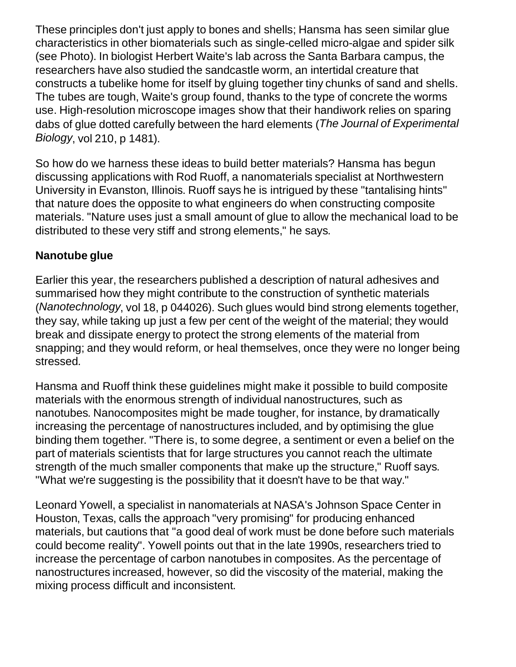These principles don't just apply to bones and shells; Hansma has seen similar glue characteristics in other biomaterials such as single-celled micro-algae and spider silk (see Photo). In biologist Herbert Waite's lab across the Santa Barbara campus, the researchers have also studied the sandcastle worm, an intertidal creature that constructs a tubelike home for itself by gluing together tiny chunks of sand and shells. The tubes are tough, Waite's group found, thanks to the type of concrete the worms use. High-resolution microscope images show that their handiwork relies on sparing dabs of glue dotted carefully between the hard elements (*The Journal of Experimental Biology*, vol 210, p 1481).

So how do we harness these ideas to build better materials? Hansma has begun discussing applications with Rod Ruoff, a nanomaterials specialist at Northwestern University in Evanston, Illinois. Ruoff says he is intrigued by these "tantalising hints" that nature does the opposite to what engineers do when constructing composite materials. "Nature uses just a small amount of glue to allow the mechanical load to be distributed to these very stiff and strong elements," he says.

### **Nanotube glue**

Earlier this year, the researchers published a description of natural adhesives and summarised how they might contribute to the construction of synthetic materials (*Nanotechnology*, vol 18, p 044026). Such glues would bind strong elements together, they say, while taking up just a few per cent of the weight of the material; they would break and dissipate energy to protect the strong elements of the material from snapping; and they would reform, or heal themselves, once they were no longer being stressed.

Hansma and Ruoff think these guidelines might make it possible to build composite materials with the enormous strength of individual nanostructures, such as nanotubes. Nanocomposites might be made tougher, for instance, by dramatically increasing the percentage of nanostructures included, and by optimising the glue binding them together. "There is, to some degree, a sentiment or even a belief on the part of materials scientists that for large structures you cannot reach the ultimate strength of the much smaller components that make up the structure," Ruoff says. "What we're suggesting is the possibility that it doesn't have to be that way."

Leonard Yowell, a specialist in nanomaterials at NASA's Johnson Space Center in Houston, Texas, calls the approach "very promising" for producing enhanced materials, but cautions that "a good deal of work must be done before such materials could become reality". Yowell points out that in the late 1990s, researchers tried to increase the percentage of carbon nanotubes in composites. As the percentage of nanostructures increased, however, so did the viscosity of the material, making the mixing process difficult and inconsistent.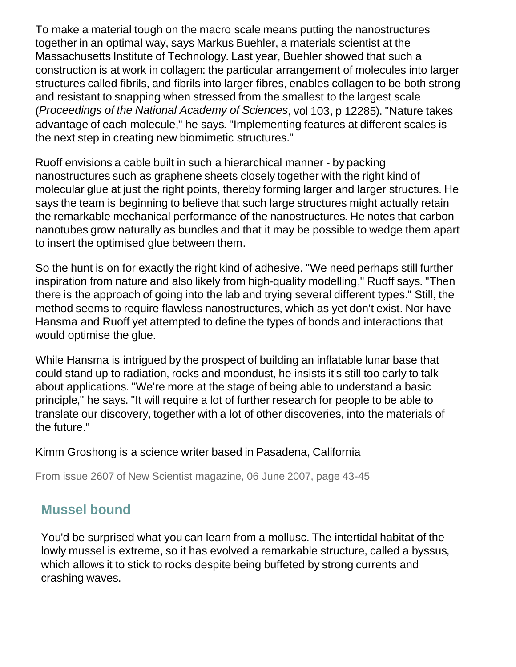To make a material tough on the macro scale means putting the nanostructures together in an optimal way, says Markus Buehler, a materials scientist at the Massachusetts Institute of Technology. Last year, Buehler showed that such a construction is at work in collagen: the particular arrangement of molecules into larger structures called fibrils, and fibrils into larger fibres, enables collagen to be both strong and resistant to snapping when stressed from the smallest to the largest scale (*Proceedings of the National Academy of Sciences*, vol 103, p 12285). "Nature takes advantage of each molecule," he says. "Implementing features at different scales is the next step in creating new biomimetic structures."

Ruoff envisions a cable built in such a hierarchical manner - by packing nanostructures such as graphene sheets closely together with the right kind of molecular glue at just the right points, thereby forming larger and larger structures. He says the team is beginning to believe that such large structures might actually retain the remarkable mechanical performance of the nanostructures. He notes that carbon nanotubes grow naturally as bundles and that it may be possible to wedge them apart to insert the optimised glue between them.

So the hunt is on for exactly the right kind of adhesive. "We need perhaps still further inspiration from nature and also likely from high-quality modelling," Ruoff says. "Then there is the approach of going into the lab and trying several different types." Still, the method seems to require flawless nanostructures, which as yet don't exist. Nor have Hansma and Ruoff yet attempted to define the types of bonds and interactions that would optimise the glue.

While Hansma is intrigued by the prospect of building an inflatable lunar base that could stand up to radiation, rocks and moondust, he insists it's still too early to talk about applications. "We're more at the stage of being able to understand a basic principle," he says. "It will require a lot of further research for people to be able to translate our discovery, together with a lot of other discoveries, into the materials of the future."

#### Kimm Groshong is a science writer based in Pasadena, California

From issue 2607 of New Scientist magazine, 06 June 2007, page 43-45

## **Mussel bound**

You'd be surprised what you can learn from a mollusc. The intertidal habitat of the lowly mussel is extreme, so it has evolved a remarkable structure, called a byssus, which allows it to stick to rocks despite being buffeted by strong currents and crashing waves.